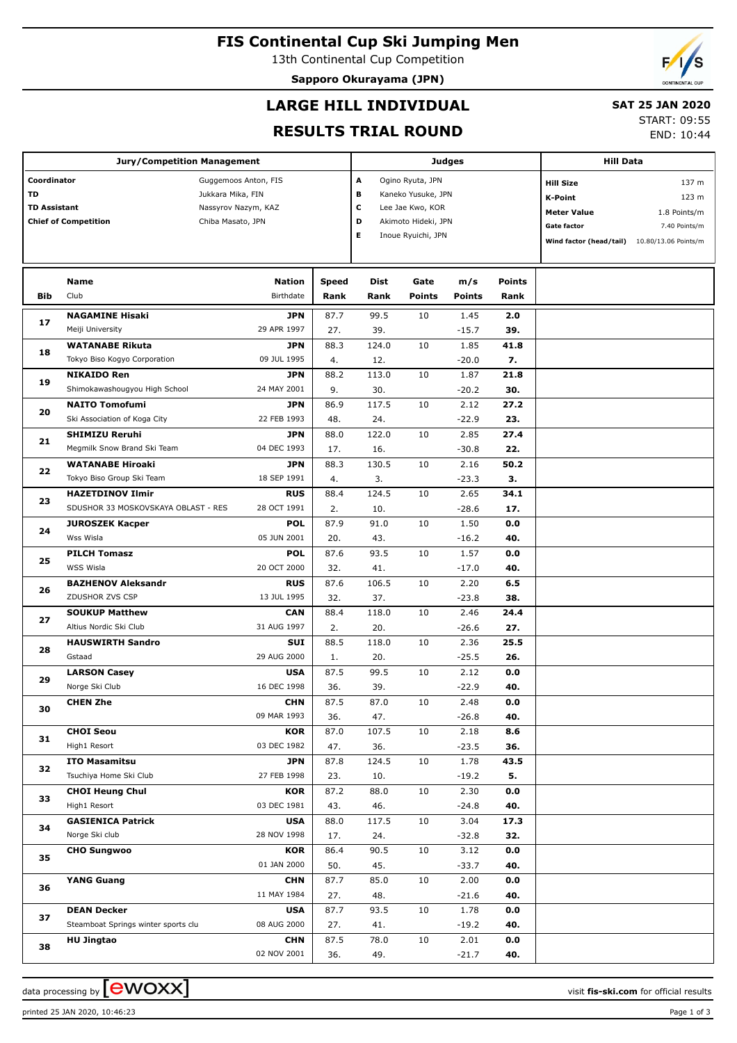# **FIS Continental Cup Ski Jumping Men**

13th Continental Cup Competition

**Sapporo Okurayama (JPN)**



## **LARGE HILL INDIVIDUAL**

## **SAT 25 JAN 2020**

### **RESULTS TRIAL ROUND**

START: 09:55

END: 10:44

|                                     | <b>Jury/Competition Management</b>                    |                            |               |              |                       | Judges               |                       | <b>Hill Data</b>                                |  |  |
|-------------------------------------|-------------------------------------------------------|----------------------------|---------------|--------------|-----------------------|----------------------|-----------------------|-------------------------------------------------|--|--|
| Coordinator<br>Guggemoos Anton, FIS |                                                       |                            |               | Α            | Ogino Ryuta, JPN      |                      |                       | 137 m<br><b>Hill Size</b>                       |  |  |
| <b>TD</b>                           |                                                       | Jukkara Mika, FIN          |               | в            | Kaneko Yusuke, JPN    |                      |                       | 123 m<br><b>K-Point</b>                         |  |  |
| <b>TD Assistant</b>                 |                                                       | Nassyrov Nazym, KAZ        |               |              | Lee Jae Kwo, KOR      |                      |                       | <b>Meter Value</b><br>1.8 Points/m              |  |  |
|                                     | <b>Chief of Competition</b>                           | Chiba Masato, JPN          |               | D            | Akimoto Hideki, JPN   |                      |                       | <b>Gate factor</b><br>7.40 Points/m             |  |  |
|                                     |                                                       |                            |               | Е            | Inoue Ryuichi, JPN    |                      |                       | Wind factor (head/tail)<br>10.80/13.06 Points/m |  |  |
|                                     |                                                       |                            |               |              |                       |                      |                       |                                                 |  |  |
|                                     |                                                       |                            |               | Dist         |                       |                      |                       |                                                 |  |  |
| Bib                                 | Name<br>Club                                          | <b>Nation</b><br>Birthdate | Speed<br>Rank | Rank         | Gate<br><b>Points</b> | m/s<br><b>Points</b> | <b>Points</b><br>Rank |                                                 |  |  |
|                                     |                                                       |                            |               |              |                       |                      |                       |                                                 |  |  |
| 17                                  | <b>NAGAMINE Hisaki</b>                                | <b>JPN</b>                 | 87.7          | 99.5         | 10                    | 1.45                 | 2.0                   |                                                 |  |  |
|                                     | Meiji University                                      | 29 APR 1997                | 27.           | 39.          |                       | $-15.7$              | 39.                   |                                                 |  |  |
| 18                                  | <b>WATANABE Rikuta</b>                                | <b>JPN</b>                 | 88.3          | 124.0        | 10                    | 1.85                 | 41.8                  |                                                 |  |  |
|                                     | Tokyo Biso Kogyo Corporation                          | 09 JUL 1995                | 4.            | 12.          |                       | $-20.0$              | 7.                    |                                                 |  |  |
| 19                                  | <b>NIKAIDO Ren</b>                                    | <b>JPN</b>                 | 88.2          | 113.0        | 10                    | 1.87                 | 21.8                  |                                                 |  |  |
|                                     | Shimokawashougyou High School                         | 24 MAY 2001<br><b>JPN</b>  | 9.            | 30.          | 10                    | $-20.2$              | 30.                   |                                                 |  |  |
| 20                                  | <b>NAITO Tomofumi</b><br>Ski Association of Koga City | 22 FEB 1993                | 86.9<br>48.   | 117.5<br>24. |                       | 2.12<br>$-22.9$      | 27.2<br>23.           |                                                 |  |  |
|                                     | <b>SHIMIZU Reruhi</b>                                 | <b>JPN</b>                 | 88.0          | 122.0        | 10                    | 2.85                 | 27.4                  |                                                 |  |  |
| 21                                  | Megmilk Snow Brand Ski Team                           | 04 DEC 1993                | 17.           | 16.          |                       | $-30.8$              | 22.                   |                                                 |  |  |
|                                     | <b>WATANABE Hiroaki</b>                               | <b>JPN</b>                 | 88.3          | 130.5        | 10                    | 2.16                 | 50.2                  |                                                 |  |  |
| 22                                  | Tokyo Biso Group Ski Team                             | 18 SEP 1991                | 4.            | 3.           |                       | $-23.3$              | 3.                    |                                                 |  |  |
|                                     | <b>HAZETDINOV Ilmir</b>                               | <b>RUS</b>                 | 88.4          | 124.5        | 10                    | 2.65                 | 34.1                  |                                                 |  |  |
| 23                                  | SDUSHOR 33 MOSKOVSKAYA OBLAST - RES                   | 28 OCT 1991                | 2.            | 10.          |                       | $-28.6$              | 17.                   |                                                 |  |  |
|                                     | <b>JUROSZEK Kacper</b>                                | <b>POL</b>                 | 87.9          | 91.0         | 10                    | 1.50                 | 0.0                   |                                                 |  |  |
| 24                                  | Wss Wisla                                             | 05 JUN 2001                | 20.           | 43.          |                       | $-16.2$              | 40.                   |                                                 |  |  |
| 25                                  | <b>PILCH Tomasz</b>                                   | <b>POL</b>                 | 87.6          | 93.5         | 10                    | 1.57                 | 0.0                   |                                                 |  |  |
|                                     | WSS Wisla                                             | 20 OCT 2000                | 32.           | 41.          |                       | $-17.0$              | 40.                   |                                                 |  |  |
|                                     | <b>BAZHENOV Aleksandr</b>                             | <b>RUS</b>                 | 87.6          | 106.5        | 10                    | 2.20                 | 6.5                   |                                                 |  |  |
| 26                                  | ZDUSHOR ZVS CSP                                       | 13 JUL 1995                | 32.           | 37.          |                       | $-23.8$              | 38.                   |                                                 |  |  |
|                                     | <b>SOUKUP Matthew</b>                                 | <b>CAN</b>                 | 88.4          | 118.0        | 10                    | 2.46                 | 24.4                  |                                                 |  |  |
| 27                                  | Altius Nordic Ski Club                                | 31 AUG 1997                | 2.            | 20.          |                       | $-26.6$              | 27.                   |                                                 |  |  |
| 28                                  | <b>HAUSWIRTH Sandro</b>                               | <b>SUI</b>                 | 88.5          | 118.0        | 10                    | 2.36                 | 25.5                  |                                                 |  |  |
|                                     | Gstaad                                                | 29 AUG 2000                | 1.            | 20.          |                       | $-25.5$              | 26.                   |                                                 |  |  |
| 29                                  | <b>LARSON Casey</b>                                   | <b>USA</b>                 | 87.5          | 99.5         | 10                    | 2.12                 | 0.0                   |                                                 |  |  |
|                                     | Norge Ski Club                                        | 16 DEC 1998                | 36.           | 39.          |                       | $-22.9$              | 40.                   |                                                 |  |  |
| 30                                  | <b>CHEN Zhe</b>                                       | <b>CHN</b>                 | 87.5          | 87.0         | 10                    | 2.48                 | 0.0                   |                                                 |  |  |
|                                     |                                                       | 09 MAR 1993                | 36.           | 47.          |                       | $-26.8$              | 40.                   |                                                 |  |  |
| 31                                  | <b>CHOI Seou</b>                                      | <b>KOR</b>                 | 87.0          | 107.5        | 10                    | 2.18                 | 8.6                   |                                                 |  |  |
|                                     | High1 Resort                                          | 03 DEC 1982                | 47.           | 36.          |                       | $-23.5$              | 36.                   |                                                 |  |  |
| 32                                  | <b>ITO Masamitsu</b>                                  | JPN                        | 87.8          | 124.5        | 10                    | 1.78                 | 43.5                  |                                                 |  |  |
|                                     | Tsuchiya Home Ski Club                                | 27 FEB 1998                | 23.           | 10.          |                       | $-19.2$              | 5.                    |                                                 |  |  |
| 33                                  | <b>CHOI Heung Chul</b>                                | KOR                        | 87.2          | 88.0         | 10                    | 2.30                 | 0.0                   |                                                 |  |  |
|                                     | High1 Resort                                          | 03 DEC 1981                | 43.           | 46.          |                       | $-24.8$              | 40.                   |                                                 |  |  |
| 34                                  | <b>GASIENICA Patrick</b>                              | <b>USA</b>                 | 88.0          | 117.5        | 10                    | 3.04                 | 17.3                  |                                                 |  |  |
|                                     | Norge Ski club                                        | 28 NOV 1998                | 17.           | 24.          |                       | $-32.8$              | 32.                   |                                                 |  |  |
| 35                                  | <b>CHO Sungwoo</b>                                    | <b>KOR</b>                 | 86.4          | 90.5         | 10                    | 3.12                 | 0.0                   |                                                 |  |  |
|                                     |                                                       | 01 JAN 2000                | 50.           | 45.          |                       | $-33.7$              | 40.                   |                                                 |  |  |
| 36                                  | <b>YANG Guang</b>                                     | <b>CHN</b><br>11 MAY 1984  | 87.7          | 85.0         | 10                    | 2.00                 | 0.0                   |                                                 |  |  |
|                                     | <b>DEAN Decker</b>                                    | <b>USA</b>                 | 27.<br>87.7   | 48.<br>93.5  | 10                    | $-21.6$<br>1.78      | 40.<br>0.0            |                                                 |  |  |
| 37                                  | Steamboat Springs winter sports clu                   | 08 AUG 2000                | 27.           | 41.          |                       | $-19.2$              | 40.                   |                                                 |  |  |
|                                     | <b>HU Jingtao</b>                                     | <b>CHN</b>                 | 87.5          | 78.0         | 10                    | 2.01                 | 0.0                   |                                                 |  |  |
| 38                                  |                                                       | 02 NOV 2001                | 36.           | 49.          |                       | $-21.7$              | 40.                   |                                                 |  |  |
|                                     |                                                       |                            |               |              |                       |                      |                       |                                                 |  |  |

data processing by **CWOXX** The state of the visit **fis-ski.com** for official results

printed 25 JAN 2020, 10:46:23 Page 1 of 3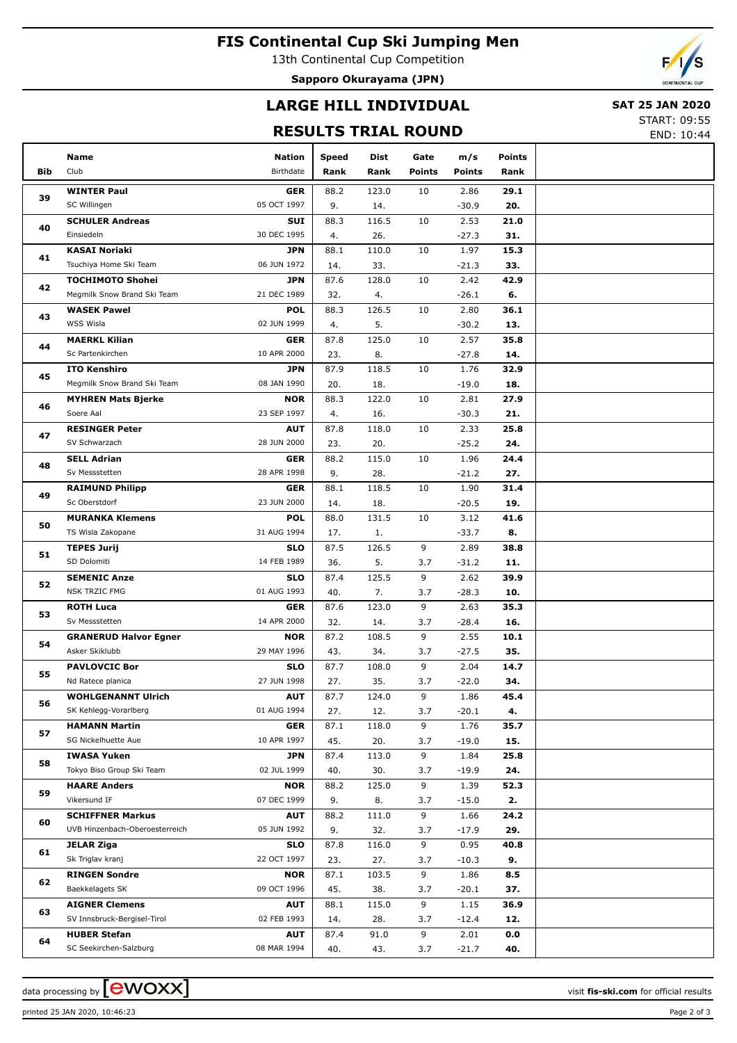# **FIS Continental Cup Ski Jumping Men**

13th Continental Cup Competition

**Sapporo Okurayama (JPN)**

# **LARGE HILL INDIVIDUAL**

## **SAT 25 JAN 2020**

## **RESULTS TRIAL ROUND**

START: 09:55

END: 10:44

|     | Name                                            | Nation                    | <b>Speed</b>                                                                                                                                                                                                                                                                                                                                                                                                                                                                                                                                                                                                                                                                                                                                                                                                                                                                                                                                                                                                                                                                                                                                                                                                                                                                                                                                                                                                                                                                                                                                                                         | Dist  | Gate          | m/s           | <b>Points</b> |  |
|-----|-------------------------------------------------|---------------------------|--------------------------------------------------------------------------------------------------------------------------------------------------------------------------------------------------------------------------------------------------------------------------------------------------------------------------------------------------------------------------------------------------------------------------------------------------------------------------------------------------------------------------------------------------------------------------------------------------------------------------------------------------------------------------------------------------------------------------------------------------------------------------------------------------------------------------------------------------------------------------------------------------------------------------------------------------------------------------------------------------------------------------------------------------------------------------------------------------------------------------------------------------------------------------------------------------------------------------------------------------------------------------------------------------------------------------------------------------------------------------------------------------------------------------------------------------------------------------------------------------------------------------------------------------------------------------------------|-------|---------------|---------------|---------------|--|
| Bib | Club                                            | Birthdate                 | Rank                                                                                                                                                                                                                                                                                                                                                                                                                                                                                                                                                                                                                                                                                                                                                                                                                                                                                                                                                                                                                                                                                                                                                                                                                                                                                                                                                                                                                                                                                                                                                                                 | Rank  | <b>Points</b> | <b>Points</b> | Rank          |  |
|     | <b>WINTER Paul</b>                              | <b>GER</b>                |                                                                                                                                                                                                                                                                                                                                                                                                                                                                                                                                                                                                                                                                                                                                                                                                                                                                                                                                                                                                                                                                                                                                                                                                                                                                                                                                                                                                                                                                                                                                                                                      |       |               |               |               |  |
| 39  | SC Willingen                                    | 05 OCT 1997               | 9.                                                                                                                                                                                                                                                                                                                                                                                                                                                                                                                                                                                                                                                                                                                                                                                                                                                                                                                                                                                                                                                                                                                                                                                                                                                                                                                                                                                                                                                                                                                                                                                   | 14.   |               | $-30.9$       | 20.           |  |
|     | <b>SCHULER Andreas</b>                          | <b>SUI</b>                | 88.3                                                                                                                                                                                                                                                                                                                                                                                                                                                                                                                                                                                                                                                                                                                                                                                                                                                                                                                                                                                                                                                                                                                                                                                                                                                                                                                                                                                                                                                                                                                                                                                 | 116.5 | 10            | 2.53          | 21.0          |  |
| 40  | Einsiedeln                                      | 30 DEC 1995               | 4.                                                                                                                                                                                                                                                                                                                                                                                                                                                                                                                                                                                                                                                                                                                                                                                                                                                                                                                                                                                                                                                                                                                                                                                                                                                                                                                                                                                                                                                                                                                                                                                   | 26.   |               | $-27.3$       | 31.           |  |
|     | <b>KASAI Noriaki</b>                            | <b>JPN</b>                | 88.1                                                                                                                                                                                                                                                                                                                                                                                                                                                                                                                                                                                                                                                                                                                                                                                                                                                                                                                                                                                                                                                                                                                                                                                                                                                                                                                                                                                                                                                                                                                                                                                 | 110.0 | 10            | 1.97          | 15.3          |  |
| 41  | Tsuchiya Home Ski Team                          | 06 JUN 1972               | 14.                                                                                                                                                                                                                                                                                                                                                                                                                                                                                                                                                                                                                                                                                                                                                                                                                                                                                                                                                                                                                                                                                                                                                                                                                                                                                                                                                                                                                                                                                                                                                                                  | 33.   |               | $-21.3$       | 33.           |  |
| 42  | <b>TOCHIMOTO Shohei</b>                         | <b>JPN</b>                | 87.6                                                                                                                                                                                                                                                                                                                                                                                                                                                                                                                                                                                                                                                                                                                                                                                                                                                                                                                                                                                                                                                                                                                                                                                                                                                                                                                                                                                                                                                                                                                                                                                 | 128.0 | 10            | 2.42          | 42.9          |  |
|     | Megmilk Snow Brand Ski Team                     | 21 DEC 1989               | 32.                                                                                                                                                                                                                                                                                                                                                                                                                                                                                                                                                                                                                                                                                                                                                                                                                                                                                                                                                                                                                                                                                                                                                                                                                                                                                                                                                                                                                                                                                                                                                                                  | 4.    |               | $-26.1$       | 6.            |  |
| 43  | <b>WASEK Pawel</b>                              | <b>POL</b>                | 88.3                                                                                                                                                                                                                                                                                                                                                                                                                                                                                                                                                                                                                                                                                                                                                                                                                                                                                                                                                                                                                                                                                                                                                                                                                                                                                                                                                                                                                                                                                                                                                                                 | 126.5 | 10            | 2.80          | 36.1          |  |
|     | WSS Wisla                                       | 02 JUN 1999               | 4.                                                                                                                                                                                                                                                                                                                                                                                                                                                                                                                                                                                                                                                                                                                                                                                                                                                                                                                                                                                                                                                                                                                                                                                                                                                                                                                                                                                                                                                                                                                                                                                   | 5.    |               | $-30.2$       | 13.           |  |
| 44  | <b>MAERKL Kilian</b>                            | <b>GER</b>                | 87.8                                                                                                                                                                                                                                                                                                                                                                                                                                                                                                                                                                                                                                                                                                                                                                                                                                                                                                                                                                                                                                                                                                                                                                                                                                                                                                                                                                                                                                                                                                                                                                                 | 125.0 | 10            | 2.57          | 35.8          |  |
|     | Sc Partenkirchen                                | 10 APR 2000               | 23.                                                                                                                                                                                                                                                                                                                                                                                                                                                                                                                                                                                                                                                                                                                                                                                                                                                                                                                                                                                                                                                                                                                                                                                                                                                                                                                                                                                                                                                                                                                                                                                  | 8.    |               | $-27.8$       | 14.           |  |
| 45  | <b>ITO Kenshiro</b>                             | <b>JPN</b>                |                                                                                                                                                                                                                                                                                                                                                                                                                                                                                                                                                                                                                                                                                                                                                                                                                                                                                                                                                                                                                                                                                                                                                                                                                                                                                                                                                                                                                                                                                                                                                                                      |       |               |               |               |  |
|     | Megmilk Snow Brand Ski Team                     | 08 JAN 1990               |                                                                                                                                                                                                                                                                                                                                                                                                                                                                                                                                                                                                                                                                                                                                                                                                                                                                                                                                                                                                                                                                                                                                                                                                                                                                                                                                                                                                                                                                                                                                                                                      |       |               |               |               |  |
| 46  | <b>MYHREN Mats Bjerke</b>                       | <b>NOR</b>                |                                                                                                                                                                                                                                                                                                                                                                                                                                                                                                                                                                                                                                                                                                                                                                                                                                                                                                                                                                                                                                                                                                                                                                                                                                                                                                                                                                                                                                                                                                                                                                                      |       |               |               |               |  |
|     | Soere Aal                                       | 23 SEP 1997               |                                                                                                                                                                                                                                                                                                                                                                                                                                                                                                                                                                                                                                                                                                                                                                                                                                                                                                                                                                                                                                                                                                                                                                                                                                                                                                                                                                                                                                                                                                                                                                                      |       |               |               |               |  |
| 47  | <b>RESINGER Peter</b>                           | <b>AUT</b>                |                                                                                                                                                                                                                                                                                                                                                                                                                                                                                                                                                                                                                                                                                                                                                                                                                                                                                                                                                                                                                                                                                                                                                                                                                                                                                                                                                                                                                                                                                                                                                                                      |       |               |               |               |  |
|     | SV Schwarzach                                   | 28 JUN 2000               |                                                                                                                                                                                                                                                                                                                                                                                                                                                                                                                                                                                                                                                                                                                                                                                                                                                                                                                                                                                                                                                                                                                                                                                                                                                                                                                                                                                                                                                                                                                                                                                      |       |               |               |               |  |
| 48  | <b>SELL Adrian</b><br>Sv Messstetten            | <b>GER</b><br>28 APR 1998 |                                                                                                                                                                                                                                                                                                                                                                                                                                                                                                                                                                                                                                                                                                                                                                                                                                                                                                                                                                                                                                                                                                                                                                                                                                                                                                                                                                                                                                                                                                                                                                                      |       |               |               |               |  |
|     | <b>RAIMUND Philipp</b>                          | <b>GER</b>                |                                                                                                                                                                                                                                                                                                                                                                                                                                                                                                                                                                                                                                                                                                                                                                                                                                                                                                                                                                                                                                                                                                                                                                                                                                                                                                                                                                                                                                                                                                                                                                                      |       |               |               |               |  |
| 49  | Sc Oberstdorf                                   | 23 JUN 2000               |                                                                                                                                                                                                                                                                                                                                                                                                                                                                                                                                                                                                                                                                                                                                                                                                                                                                                                                                                                                                                                                                                                                                                                                                                                                                                                                                                                                                                                                                                                                                                                                      |       |               |               |               |  |
|     | <b>MURANKA Klemens</b>                          | <b>POL</b>                |                                                                                                                                                                                                                                                                                                                                                                                                                                                                                                                                                                                                                                                                                                                                                                                                                                                                                                                                                                                                                                                                                                                                                                                                                                                                                                                                                                                                                                                                                                                                                                                      |       |               |               |               |  |
| 50  | TS Wisla Zakopane                               | 31 AUG 1994               | 88.2<br>123.0<br>10<br>2.86<br>29.1<br>87.9<br>118.5<br>10<br>1.76<br>32.9<br>20.<br>18.<br>$-19.0$<br>18.<br>88.3<br>122.0<br>10<br>2.81<br>27.9<br>4.<br>16.<br>$-30.3$<br>21.<br>118.0<br>10<br>2.33<br>25.8<br>87.8<br>$-25.2$<br>23.<br>20.<br>24.<br>88.2<br>115.0<br>10<br>1.96<br>24.4<br>28.<br>9.<br>$-21.2$<br>27.<br>88.1<br>118.5<br>10<br>1.90<br>31.4<br>14.<br>18.<br>$-20.5$<br>19.<br>3.12<br>88.0<br>131.5<br>10<br>41.6<br>17.<br>1.<br>$-33.7$<br>8.<br>87.5<br>126.5<br>9<br>2.89<br>38.8<br>5.<br>36.<br>3.7<br>$-31.2$<br>11.<br>125.5<br>9<br>87.4<br>2.62<br>39.9<br>7.<br>40.<br>3.7<br>$-28.3$<br>10.<br>123.0<br>9<br>2.63<br>35.3<br>87.6<br>32.<br>14.<br>3.7<br>$-28.4$<br>16.<br>9<br>87.2<br>108.5<br>2.55<br>10.1<br>43.<br>34.<br>3.7<br>$-27.5$<br>35.<br>9<br>2.04<br>14.7<br>87.7<br>108.0<br>27.<br>35.<br>3.7<br>$-22.0$<br>34.<br>9<br>87.7<br>124.0<br>1.86<br>45.4<br>12.<br>$-20.1$<br>27.<br>3.7<br>4.<br>118.0<br>9<br>1.76<br>87.1<br>35.7<br>45.<br>20.<br>$-19.0$<br>3.7<br>15.<br>113.0<br>9<br>87.4<br>1.84<br>25.8<br>40.<br>30.<br>3.7<br>$-19.9$<br>24.<br>125.0<br>9<br>88.2<br>1.39<br>52.3<br>9.<br>8.<br>$-15.0$<br>3.7<br>2.<br>111.0<br>9<br>24.2<br>88.2<br>1.66<br>9.<br>32.<br>$-17.9$<br>29.<br>3.7<br>116.0<br>9<br>0.95<br>87.8<br>40.8<br>23.<br>27.<br>3.7<br>$-10.3$<br>9.<br>103.5<br>9<br>87.1<br>1.86<br>8.5<br>45.<br>38.<br>$-20.1$<br>3.7<br>37.<br>115.0<br>9<br>88.1<br>1.15<br>36.9<br>$-12.4$<br>14.<br>28.<br>3.7<br>12.<br>9<br>87.4<br>91.0<br>2.01<br>0.0<br>$-21.7$<br>40.<br>40.<br>43.<br>3.7 |       |               |               |               |  |
|     | <b>TEPES Jurij</b>                              | <b>SLO</b>                |                                                                                                                                                                                                                                                                                                                                                                                                                                                                                                                                                                                                                                                                                                                                                                                                                                                                                                                                                                                                                                                                                                                                                                                                                                                                                                                                                                                                                                                                                                                                                                                      |       |               |               |               |  |
| 51  | SD Dolomiti                                     | 14 FEB 1989               |                                                                                                                                                                                                                                                                                                                                                                                                                                                                                                                                                                                                                                                                                                                                                                                                                                                                                                                                                                                                                                                                                                                                                                                                                                                                                                                                                                                                                                                                                                                                                                                      |       |               |               |               |  |
|     | <b>SEMENIC Anze</b>                             | <b>SLO</b>                |                                                                                                                                                                                                                                                                                                                                                                                                                                                                                                                                                                                                                                                                                                                                                                                                                                                                                                                                                                                                                                                                                                                                                                                                                                                                                                                                                                                                                                                                                                                                                                                      |       |               |               |               |  |
| 52  | <b>NSK TRZIC FMG</b>                            | 01 AUG 1993               |                                                                                                                                                                                                                                                                                                                                                                                                                                                                                                                                                                                                                                                                                                                                                                                                                                                                                                                                                                                                                                                                                                                                                                                                                                                                                                                                                                                                                                                                                                                                                                                      |       |               |               |               |  |
|     | <b>ROTH Luca</b>                                | <b>GER</b>                |                                                                                                                                                                                                                                                                                                                                                                                                                                                                                                                                                                                                                                                                                                                                                                                                                                                                                                                                                                                                                                                                                                                                                                                                                                                                                                                                                                                                                                                                                                                                                                                      |       |               |               |               |  |
| 53  | Sv Messstetten                                  | 14 APR 2000               |                                                                                                                                                                                                                                                                                                                                                                                                                                                                                                                                                                                                                                                                                                                                                                                                                                                                                                                                                                                                                                                                                                                                                                                                                                                                                                                                                                                                                                                                                                                                                                                      |       |               |               |               |  |
| 54  | <b>GRANERUD Halvor Egner</b>                    | <b>NOR</b>                |                                                                                                                                                                                                                                                                                                                                                                                                                                                                                                                                                                                                                                                                                                                                                                                                                                                                                                                                                                                                                                                                                                                                                                                                                                                                                                                                                                                                                                                                                                                                                                                      |       |               |               |               |  |
|     | Asker Skiklubb                                  | 29 MAY 1996               |                                                                                                                                                                                                                                                                                                                                                                                                                                                                                                                                                                                                                                                                                                                                                                                                                                                                                                                                                                                                                                                                                                                                                                                                                                                                                                                                                                                                                                                                                                                                                                                      |       |               |               |               |  |
| 55  | <b>PAVLOVCIC Bor</b>                            | <b>SLO</b>                |                                                                                                                                                                                                                                                                                                                                                                                                                                                                                                                                                                                                                                                                                                                                                                                                                                                                                                                                                                                                                                                                                                                                                                                                                                                                                                                                                                                                                                                                                                                                                                                      |       |               |               |               |  |
|     | Nd Ratece planica                               | 27 JUN 1998               |                                                                                                                                                                                                                                                                                                                                                                                                                                                                                                                                                                                                                                                                                                                                                                                                                                                                                                                                                                                                                                                                                                                                                                                                                                                                                                                                                                                                                                                                                                                                                                                      |       |               |               |               |  |
| 56  | <b>WOHLGENANNT Ulrich</b>                       | <b>AUT</b>                |                                                                                                                                                                                                                                                                                                                                                                                                                                                                                                                                                                                                                                                                                                                                                                                                                                                                                                                                                                                                                                                                                                                                                                                                                                                                                                                                                                                                                                                                                                                                                                                      |       |               |               |               |  |
|     | SK Kehlegg-Vorarlberg                           | 01 AUG 1994               |                                                                                                                                                                                                                                                                                                                                                                                                                                                                                                                                                                                                                                                                                                                                                                                                                                                                                                                                                                                                                                                                                                                                                                                                                                                                                                                                                                                                                                                                                                                                                                                      |       |               |               |               |  |
| 57  | <b>HAMANN Martin</b>                            | <b>GER</b>                |                                                                                                                                                                                                                                                                                                                                                                                                                                                                                                                                                                                                                                                                                                                                                                                                                                                                                                                                                                                                                                                                                                                                                                                                                                                                                                                                                                                                                                                                                                                                                                                      |       |               |               |               |  |
|     | SG Nickelhuette Aue                             | 10 APR 1997               |                                                                                                                                                                                                                                                                                                                                                                                                                                                                                                                                                                                                                                                                                                                                                                                                                                                                                                                                                                                                                                                                                                                                                                                                                                                                                                                                                                                                                                                                                                                                                                                      |       |               |               |               |  |
| 58  | <b>IWASA Yuken</b><br>Tokyo Biso Group Ski Team | <b>JPN</b><br>02 JUL 1999 |                                                                                                                                                                                                                                                                                                                                                                                                                                                                                                                                                                                                                                                                                                                                                                                                                                                                                                                                                                                                                                                                                                                                                                                                                                                                                                                                                                                                                                                                                                                                                                                      |       |               |               |               |  |
|     | <b>HAARE Anders</b>                             | <b>NOR</b>                |                                                                                                                                                                                                                                                                                                                                                                                                                                                                                                                                                                                                                                                                                                                                                                                                                                                                                                                                                                                                                                                                                                                                                                                                                                                                                                                                                                                                                                                                                                                                                                                      |       |               |               |               |  |
| 59  | Vikersund IF                                    | 07 DEC 1999               |                                                                                                                                                                                                                                                                                                                                                                                                                                                                                                                                                                                                                                                                                                                                                                                                                                                                                                                                                                                                                                                                                                                                                                                                                                                                                                                                                                                                                                                                                                                                                                                      |       |               |               |               |  |
|     | <b>SCHIFFNER Markus</b>                         | <b>AUT</b>                |                                                                                                                                                                                                                                                                                                                                                                                                                                                                                                                                                                                                                                                                                                                                                                                                                                                                                                                                                                                                                                                                                                                                                                                                                                                                                                                                                                                                                                                                                                                                                                                      |       |               |               |               |  |
| 60  | UVB Hinzenbach-Oberoesterreich                  | 05 JUN 1992               |                                                                                                                                                                                                                                                                                                                                                                                                                                                                                                                                                                                                                                                                                                                                                                                                                                                                                                                                                                                                                                                                                                                                                                                                                                                                                                                                                                                                                                                                                                                                                                                      |       |               |               |               |  |
|     | JELAR Ziga                                      | <b>SLO</b>                |                                                                                                                                                                                                                                                                                                                                                                                                                                                                                                                                                                                                                                                                                                                                                                                                                                                                                                                                                                                                                                                                                                                                                                                                                                                                                                                                                                                                                                                                                                                                                                                      |       |               |               |               |  |
| 61  | Sk Triglav kranj                                | 22 OCT 1997               |                                                                                                                                                                                                                                                                                                                                                                                                                                                                                                                                                                                                                                                                                                                                                                                                                                                                                                                                                                                                                                                                                                                                                                                                                                                                                                                                                                                                                                                                                                                                                                                      |       |               |               |               |  |
|     | <b>RINGEN Sondre</b>                            | <b>NOR</b>                |                                                                                                                                                                                                                                                                                                                                                                                                                                                                                                                                                                                                                                                                                                                                                                                                                                                                                                                                                                                                                                                                                                                                                                                                                                                                                                                                                                                                                                                                                                                                                                                      |       |               |               |               |  |
| 62  | Baekkelagets SK                                 | 09 OCT 1996               |                                                                                                                                                                                                                                                                                                                                                                                                                                                                                                                                                                                                                                                                                                                                                                                                                                                                                                                                                                                                                                                                                                                                                                                                                                                                                                                                                                                                                                                                                                                                                                                      |       |               |               |               |  |
|     | <b>AIGNER Clemens</b>                           | <b>AUT</b>                |                                                                                                                                                                                                                                                                                                                                                                                                                                                                                                                                                                                                                                                                                                                                                                                                                                                                                                                                                                                                                                                                                                                                                                                                                                                                                                                                                                                                                                                                                                                                                                                      |       |               |               |               |  |
| 63  | SV Innsbruck-Bergisel-Tirol                     | 02 FEB 1993               |                                                                                                                                                                                                                                                                                                                                                                                                                                                                                                                                                                                                                                                                                                                                                                                                                                                                                                                                                                                                                                                                                                                                                                                                                                                                                                                                                                                                                                                                                                                                                                                      |       |               |               |               |  |
|     | <b>HUBER Stefan</b>                             | <b>AUT</b>                |                                                                                                                                                                                                                                                                                                                                                                                                                                                                                                                                                                                                                                                                                                                                                                                                                                                                                                                                                                                                                                                                                                                                                                                                                                                                                                                                                                                                                                                                                                                                                                                      |       |               |               |               |  |
| 64  | SC Seekirchen-Salzburg                          | 08 MAR 1994               |                                                                                                                                                                                                                                                                                                                                                                                                                                                                                                                                                                                                                                                                                                                                                                                                                                                                                                                                                                                                                                                                                                                                                                                                                                                                                                                                                                                                                                                                                                                                                                                      |       |               |               |               |  |

printed 25 JAN 2020, 10:46:23 Page 2 of 3

data processing by **CWOXX**  $\blacksquare$